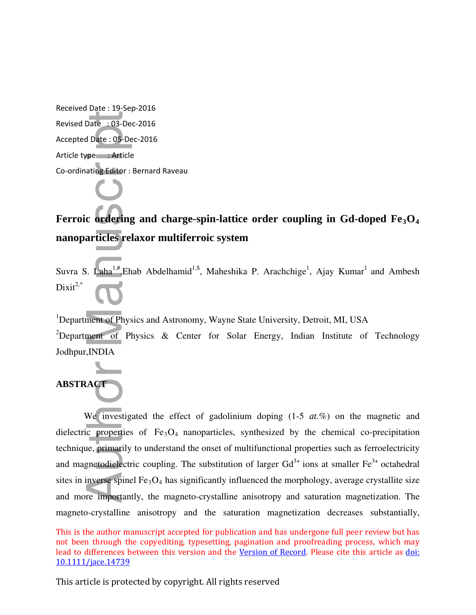Received Date : 19-Sep-2016 Revised Date : 03-Dec-2016 Accepted Date : 05-Dec-2016 Article type : Article Co-ordinating Editor : Bernard Raveau

# **Ferroic ordering and charge-spin-lattice order coupling in Gd-doped Fe3O<sup>4</sup> nanoparticles relaxor multiferroic system**

Suvra S. Laha<sup>1,#</sup>, Ehab Abdelhamid<sup>1,\$</sup>, Maheshika P. Arachchige<sup>1</sup>, Ajay Kumar<sup>1</sup> and Ambesh  $Dixit^{2,*}$ 

<sup>1</sup>Department of Physics and Astronomy, Wayne State University, Detroit, MI, USA

<sup>2</sup>Department of Physics & Center for Solar Energy, Indian Institute of Technology Jodhpur,INDIA

# **ABSTRACT**

We investigated the effect of gadolinium doping (1-5 *at.*%) on the magnetic and dielectric properties of  $Fe<sub>3</sub>O<sub>4</sub>$  nanoparticles, synthesized by the chemical co-precipitation technique, primarily to understand the onset of multifunctional properties such as ferroelectricity and magnetodielectric coupling. The substitution of larger  $Gd^{3+}$  ions at smaller  $Fe^{3+}$  octahedral sites in inverse spinel  $Fe<sub>3</sub>O<sub>4</sub>$  has significantly influenced the morphology, average crystallite size and more importantly, the magneto-crystalline anisotropy and saturation magnetization. The Revised Date : 03-Dec-2016<br>
Accepted Date : 05-Dec-2016<br>
Article type : Article<br>
Co-ordinating Editor : Bernard Rave<br> **Co-ordinating Editor : Bernard Rave**<br> **Co-ordinating Editor : Bernard Rave**<br> **Co-ordinating Editor : B** magneto-crystalline anisotropy and the saturation magnetization decreases substantially,

This is the author manuscript accepted for publication and has undergone full peer review but has not been through the copyediting, typesetting, pagination and proofreading process, which may lead to differences between this version and the Version of Record. Please cite this article as doi: 10.1111/jace.14739

This article is protected by copyright. All rights reserved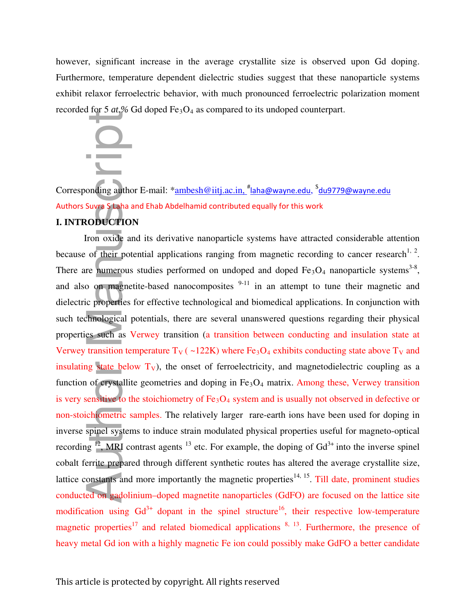however, significant increase in the average crystallite size is observed upon Gd doping. Furthermore, temperature dependent dielectric studies suggest that these nanoparticle systems exhibit relaxor ferroelectric behavior, with much pronounced ferroelectric polarization moment recorded for 5 *at.*% Gd doped Fe<sub>3</sub>O<sub>4</sub> as compared to its undoped counterpart.



Corresponding author E-mail: \*<u>ambesh@iitj.ac.in, <sup>#</sup>laha@wayne.edu</u>, <sup>\$</sup>du9779@wayne.edu Authors Suvra S Laha and Ehab Abdelhamid contributed equally for this work

# **I. INTRODUCTION**

Iron oxide and its derivative nanoparticle systems have attracted considerable attention because of their potential applications ranging from magnetic recording to cancer research<sup>1, 2</sup>. There are numerous studies performed on undoped and doped  $Fe<sub>3</sub>O<sub>4</sub>$  nanoparticle systems<sup>3-8</sup>, and also on magnetite-based nanocomposites  $9-11$  in an attempt to tune their magnetic and dielectric properties for effective technological and biomedical applications. In conjunction with such technological potentials, there are several unanswered questions regarding their physical properties such as Verwey transition (a transition between conducting and insulation state at Verwey transition temperature  $T_V$  ( ~122K) where Fe<sub>3</sub>O<sub>4</sub> exhibits conducting state above  $T_V$  and insulating state below  $T_v$ ), the onset of ferroelectricity, and magnetodielectric coupling as a function of crystallite geometries and doping in  $Fe<sub>3</sub>O<sub>4</sub>$  matrix. Among these, Verwey transition is very sensitive to the stoichiometry of  $Fe<sub>3</sub>O<sub>4</sub>$  system and is usually not observed in defective or non-stoichiometric samples. The relatively larger rare-earth ions have been used for doping in inverse spinel systems to induce strain modulated physical properties useful for magneto-optical recording  $\frac{12}{3}$ , MRI contrast agents  $\frac{13}{3}$  etc. For example, the doping of Gd<sup>3+</sup> into the inverse spinel cobalt ferrite prepared through different synthetic routes has altered the average crystallite size, lattice constants and more importantly the magnetic properties<sup>14, 15</sup>. Till date, prominent studies conducted on gadolinium–doped magnetite nanoparticles (GdFO) are focused on the lattice site modification using  $Gd^{3+}$  dopant in the spinel structure<sup>16</sup>, their respective low-temperature magnetic properties<sup>17</sup> and related biomedical applications  $8, 13$ . Furthermore, the presence of **EXECUTE:**<br> **EXECUTE AUTHOR CONSULS AND ADDED** TO THE SUPPOSE THE SUPPOSE THE CONDITION WE CONDITION WE CONDITION TO THE CONSULS AND MOTHER IN THE CONSULS INTO THE CONSULS INTO THE CONSULS INTO THE CONSULS AND CONDITIONS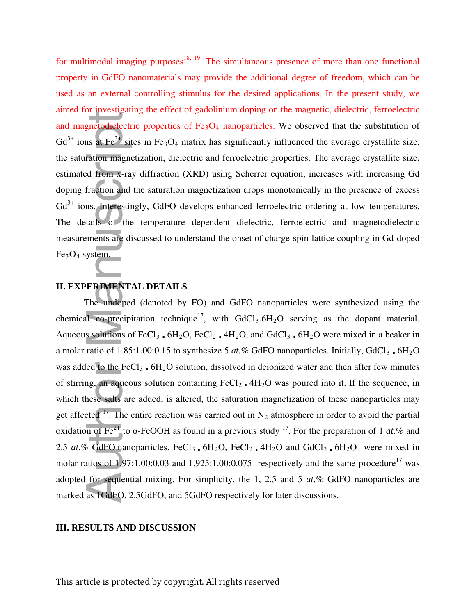for multimodal imaging purposes $18, 19$ . The simultaneous presence of more than one functional property in GdFO nanomaterials may provide the additional degree of freedom, which can be used as an external controlling stimulus for the desired applications. In the present study, we aimed for investigating the effect of gadolinium doping on the magnetic, dielectric, ferroelectric and magnetodielectric properties of  $Fe<sub>3</sub>O<sub>4</sub>$  nanoparticles. We observed that the substitution of  $Gd^{3+}$  ions at Fe<sup>3+</sup> sites in Fe<sub>3</sub>O<sub>4</sub> matrix has significantly influenced the average crystallite size, the saturation magnetization, dielectric and ferroelectric properties. The average crystallite size, estimated from x-ray diffraction (XRD) using Scherrer equation, increases with increasing Gd doping fraction and the saturation magnetization drops monotonically in the presence of excess Gd<sup>3+</sup> ions. Interestingly, GdFO develops enhanced ferroelectric ordering at low temperatures. The details of the temperature dependent dielectric, ferroelectric and magnetodielectric measurements are discussed to understand the onset of charge-spin-lattice coupling in Gd-doped  $Fe<sub>3</sub>O<sub>4</sub>$  system.

# **II. EXPERIMENTAL DETAILS**

The undoped (denoted by FO) and GdFO nanoparticles were synthesized using the chemical co-precipitation technique<sup>17</sup>, with  $GdCl<sub>3</sub>.6H<sub>2</sub>O$  serving as the dopant material. Aqueous solutions of FeCl<sub>3</sub>  $\cdot$  6H<sub>2</sub>O, FeCl<sub>2</sub>  $\cdot$  4H<sub>2</sub>O, and GdCl<sub>3</sub>  $\cdot$  6H<sub>2</sub>O were mixed in a beaker in a molar ratio of  $1.85:1.00:0.15$  to synthesize 5 *at.*% GdFO nanoparticles. Initially, GdCl<sub>3</sub>, 6H<sub>2</sub>O was added to the FeCl<sub>3</sub>.  $6H<sub>2</sub>O$  solution, dissolved in deionized water and then after few minutes of stirring, an aqueous solution containing  $FeCl<sub>2</sub>$ .  $4H<sub>2</sub>O$  was poured into it. If the sequence, in which these salts are added, is altered, the saturation magnetization of these nanoparticles may get affected  $17$ . The entire reaction was carried out in N<sub>2</sub> atmosphere in order to avoid the partial oxidation of Fe<sup>2+</sup> to  $\alpha$ -FeOOH as found in a previous study <sup>17</sup>. For the preparation of 1 *at*.% and 2.5  $at.\%$  GdFO nanoparticles, FeCl<sub>3</sub> 6H<sub>2</sub>O, FeCl<sub>2</sub> 4H<sub>2</sub>O and GdCl<sub>3</sub> 6H<sub>2</sub>O were mixed in molar ratios of 1.97:1.00:0.03 and 1.925:1.00:0.075 respectively and the same procedure<sup>17</sup> was adopted for sequential mixing. For simplicity, the 1, 2.5 and 5 *at.*% GdFO nanoparticles are marked as 1GdFO, 2.5GdFO, and 5GdFO respectively for later discussions. annet re- prost<sub>5</sub> and gas errors of and<br>and magnetodielectric properties of<br> $Gd^{3+}$  ions at  $Fe^{3+}$  sites in  $Fe_3O_4$  mat<br>the saturation magnetization, dielectr<br>estimated from x-ray diffraction (XH<br>doping fraction and t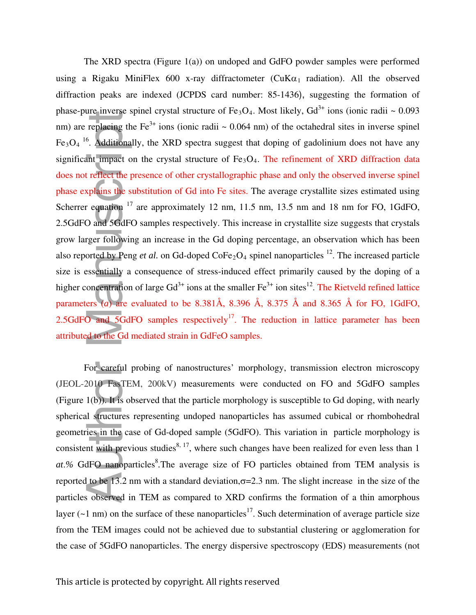The XRD spectra (Figure 1(a)) on undoped and GdFO powder samples were performed using a Rigaku MiniFlex 600 x-ray diffractometer ( $CuKa<sub>1</sub>$  radiation). All the observed diffraction peaks are indexed (JCPDS card number: 85-1436), suggesting the formation of phase-pure inverse spinel crystal structure of  $Fe_3O_4$ . Most likely,  $Gd^{3+}$  ions (ionic radii ~ 0.093 nm) are replacing the Fe<sup>3+</sup> ions (ionic radii  $\sim 0.064$  nm) of the octahedral sites in inverse spinel Fe<sub>3</sub>O<sub>4</sub><sup>16</sup>. Additionally, the XRD spectra suggest that doping of gadolinium does not have any significant impact on the crystal structure of  $Fe<sub>3</sub>O<sub>4</sub>$ . The refinement of XRD diffraction data does not reflect the presence of other crystallographic phase and only the observed inverse spinel phase explains the substitution of Gd into Fe sites. The average crystallite sizes estimated using Scherrer equation  $17$  are approximately 12 nm, 11.5 nm, 13.5 nm and 18 nm for FO, 1GdFO, 2.5GdFO and 5GdFO samples respectively. This increase in crystallite size suggests that crystals grow larger following an increase in the Gd doping percentage, an observation which has been also reported by Peng *et al.* on Gd-doped CoFe<sub>2</sub>O<sub>4</sub> spinel nanoparticles <sup>12</sup>. The increased particle size is essentially a consequence of stress-induced effect primarily caused by the doping of a higher concentration of large  $Gd^{3+}$  ions at the smaller  $Fe^{3+}$  ion sites<sup>12</sup>. The Rietveld refined lattice parameters (*a*) are evaluated to be 8.381Å, 8.396 Å, 8.375 Å and 8.365 Å for FO, 1GdFO, 2.5GdFO and  $5GdFO$  samples respectively<sup>17</sup>. The reduction in lattice parameter has been attributed to the Gd mediated strain in GdFeO samples. parameters. We neer the cystal structure of FeOI, note and the parameter parameter parameter of the energy dispersive spectra of the energy dispersive spectroscopy (EDS). The energy of and the energy dispersive spectrosco

For careful probing of nanostructures' morphology, transmission electron microscopy (JEOL-2010 FasTEM, 200kV) measurements were conducted on FO and 5GdFO samples (Figure 1(b)). It is observed that the particle morphology is susceptible to Gd doping, with nearly spherical structures representing undoped nanoparticles has assumed cubical or rhombohedral geometries in the case of Gd-doped sample (5GdFO). This variation in particle morphology is consistent with previous studies<sup>8, 17</sup>, where such changes have been realized for even less than 1 at.% GdFO nanoparticles<sup>8</sup>. The average size of FO particles obtained from TEM analysis is reported to be 13.2 nm with a standard deviation,  $\sigma$ =2.3 nm. The slight increase in the size of the particles observed in TEM as compared to XRD confirms the formation of a thin amorphous layer ( $\sim$ 1 nm) on the surface of these nanoparticles<sup>17</sup>. Such determination of average particle size from the TEM images could not be achieved due to substantial clustering or agglomeration for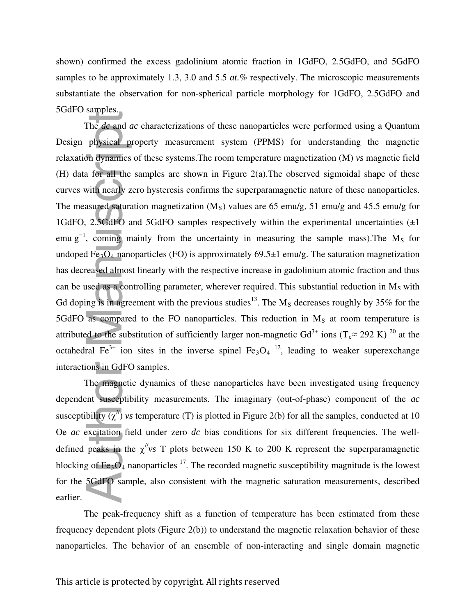shown) confirmed the excess gadolinium atomic fraction in 1GdFO, 2.5GdFO, and 5GdFO samples to be approximately 1.3, 3.0 and 5.5 *at.*% respectively. The microscopic measurements substantiate the observation for non-spherical particle morphology for 1GdFO, 2.5GdFO and 5GdFO samples.

The *dc* and *ac* characterizations of these nanoparticles were performed using a Quantum Design physical property measurement system (PPMS) for understanding the magnetic relaxation dynamics of these systems.The room temperature magnetization (M) *vs* magnetic field (H) data for all the samples are shown in Figure 2(a).The observed sigmoidal shape of these curves with nearly zero hysteresis confirms the superparamagnetic nature of these nanoparticles. The measured saturation magnetization  $(M<sub>S</sub>)$  values are 65 emu/g, 51 emu/g and 45.5 emu/g for 1GdFO, 2.5GdFO and 5GdFO samples respectively within the experimental uncertainties  $(\pm 1)$ emu  $g^{-1}$ , coming mainly from the uncertainty in measuring the sample mass). The M<sub>S</sub> for undoped  $\overline{Fe_3O_4}$  nanoparticles (FO) is approximately 69.5 $\pm$ 1 emu/g. The saturation magnetization has decreased almost linearly with the respective increase in gadolinium atomic fraction and thus can be used as a controlling parameter, wherever required. This substantial reduction in  $M_s$  with Gd doping is in agreement with the previous studies<sup>13</sup>. The  $M_s$  decreases roughly by 35% for the 5GdFO as compared to the FO nanoparticles. This reduction in  $M_s$  at room temperature is attributed to the substitution of sufficiently larger non-magnetic Gd<sup>3+</sup> ions (T<sub>c</sub>≈ 292 K)<sup>20</sup> at the octahedral Fe<sup>3+</sup> ion sites in the inverse spinel Fe<sub>3</sub>O<sub>4</sub><sup>12</sup>, leading to weaker superexchange interactions in GdFO samples. The *dc* and *c*<br>physical p:<br>on dynamics<br>a for all the<br>vith nearly z<br>asured satura<br>2.5GdFO a, coming m<br>I Fe<sub>3</sub>O<sub>4</sub> nance ased almos<br>sed as a compare<br>ased almos<br>sed as a compare<br>as compare<br>as compare<br>as compare<br>d to the su

The magnetic dynamics of these nanoparticles have been investigated using frequency dependent susceptibility measurements. The imaginary (out-of-phase) component of the *ac* susceptibility  $(\chi'')$  *vs* temperature (T) is plotted in Figure 2(b) for all the samples, conducted at 10 Oe *ac* excitation field under zero *dc* bias conditions for six different frequencies. The welldefined peaks in the  $\chi''$ <sub>Vs</sub> T plots between 150 K to 200 K represent the superparamagnetic blocking of  $Fe<sub>3</sub>O<sub>4</sub>$  nanoparticles <sup>17</sup>. The recorded magnetic susceptibility magnitude is the lowest for the 5GdFO sample, also consistent with the magnetic saturation measurements, described earlier.

The peak-frequency shift as a function of temperature has been estimated from these frequency dependent plots (Figure 2(b)) to understand the magnetic relaxation behavior of these nanoparticles. The behavior of an ensemble of non-interacting and single domain magnetic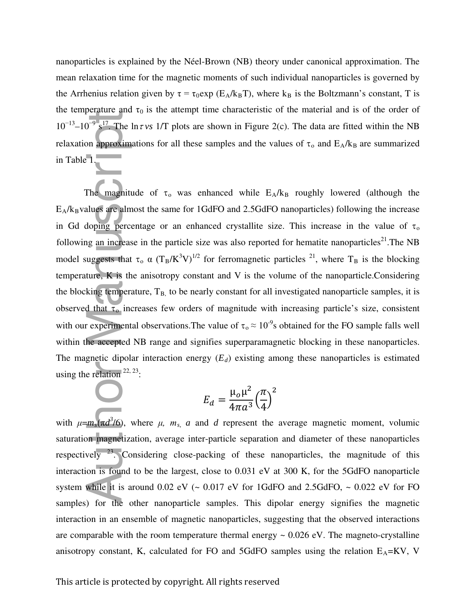nanoparticles is explained by the Néel-Brown (NB) theory under canonical approximation. The mean relaxation time for the magnetic moments of such individual nanoparticles is governed by the Arrhenius relation given by  $\tau = \tau_0 \exp(E_A/k_B T)$ , where k<sub>B</sub> is the Boltzmann's constant, T is the temperature and  $\tau_0$  is the attempt time characteristic of the material and is of the order of  $10^{-13}$ – $10^{-9}$  s<sup>17</sup>. The ln*τ vs* 1/T plots are shown in Figure 2(c). The data are fitted within the NB relaxation approximations for all these samples and the values of  $\tau_0$  and  $E_A/k_B$  are summarized in Table 1.

The magnitude of  $\tau_0$  was enhanced while  $E_A/k_B$  roughly lowered (although the  $E_A/k_B$ values are almost the same for 1GdFO and 2.5GdFO nanoparticles) following the increase in Gd doping percentage or an enhanced crystallite size. This increase in the value of  $\tau_0$ following an increase in the particle size was also reported for hematite nanoparticles<sup>21</sup>. The NB model suggests that  $\tau_o \propto (T_B/K^3V)^{1/2}$  for ferromagnetic particles <sup>21</sup>, where T<sub>B</sub> is the blocking temperature, K is the anisotropy constant and V is the volume of the nanoparticle.Considering the blocking temperature,  $T_{B}$ , to be nearly constant for all investigated nanoparticle samples, it is observed that  $\tau_0$  increases few orders of magnitude with increasing particle's size, consistent with our experimental observations. The value of  $\tau_0 \approx 10^{-9}$ s obtained for the FO sample falls well within the accepted NB range and signifies superparamagnetic blocking in these nanoparticles. The magnetic dipolar interaction energy  $(E_d)$  existing among these nanoparticles is estimated using the relation  $22, 23$ : 10<sup>-11</sup> 10<sup>-23</sup>. The line is the samples and the value of t<sub>o</sub>, and H<sub>S</sub>(*K*) and H<sub>S</sub>(*K*) and H<sub>S</sub>(*K*) and H<sub>S</sub>(*K*) and H<sub>S</sub>(*K*) and H<sub>S</sub>(*K*) and H<sub>S</sub>(*K*) and H<sub>S</sub>(*K*) and H<sub>S</sub>(*K*) and H<sub>S</sub>(*K*) and H<sub>S</sub>(*K*) and

$$
E_d = \frac{\mu_o \mu^2}{4\pi a^3} \left(\frac{\pi}{4}\right)^2
$$

with  $\mu = m_s(\pi d^3/6)$ , where  $\mu$ ,  $m_s$ , *a* and *d* represent the average magnetic moment, volumic saturation magnetization, average inter-particle separation and diameter of these nanoparticles respectively  $^{23}$ . Considering close-packing of these nanoparticles, the magnitude of this interaction is found to be the largest, close to 0.031 eV at 300 K, for the 5GdFO nanoparticle system while it is around  $0.02$  eV ( $\sim 0.017$  eV for 1GdFO and 2.5GdFO,  $\sim 0.022$  eV for FO samples) for the other nanoparticle samples. This dipolar energy signifies the magnetic interaction in an ensemble of magnetic nanoparticles, suggesting that the observed interactions are comparable with the room temperature thermal energy  $\sim 0.026$  eV. The magneto-crystalline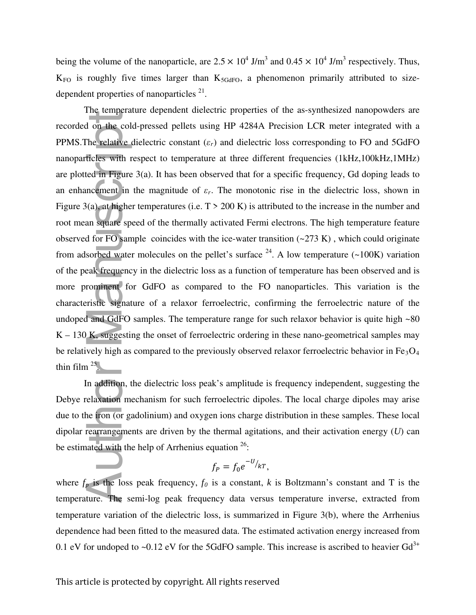being the volume of the nanoparticle, are  $2.5 \times 10^4$  J/m<sup>3</sup> and  $0.45 \times 10^4$  J/m<sup>3</sup> respectively. Thus,  $K_{FO}$  is roughly five times larger than  $K_{5GdFO}$ , a phenomenon primarily attributed to sizedependent properties of nanoparticles  $2<sup>1</sup>$ .

The temperature dependent dielectric properties of the as-synthesized nanopowders are recorded on the cold-pressed pellets using HP 4284A Precision LCR meter integrated with a PPMS. The relative dielectric constant  $(\varepsilon_r)$  and dielectric loss corresponding to FO and 5GdFO nanoparticles with respect to temperature at three different frequencies (1kHz,100kHz,1MHz) are plotted in Figure 3(a). It has been observed that for a specific frequency, Gd doping leads to an enhancement in the magnitude of  $\varepsilon_r$ . The monotonic rise in the dielectric loss, shown in Figure 3(a), at higher temperatures (i.e.  $T > 200$  K) is attributed to the increase in the number and root mean square speed of the thermally activated Fermi electrons. The high temperature feature observed for FO sample coincides with the ice-water transition  $(-273 \text{ K})$ , which could originate from adsorbed water molecules on the pellet's surface  $^{24}$ . A low temperature (~100K) variation of the peak frequency in the dielectric loss as a function of temperature has been observed and is more prominent for GdFO as compared to the FO nanoparticles. This variation is the characteristic signature of a relaxor ferroelectric, confirming the ferroelectric nature of the undoped and GdFO samples. The temperature range for such relaxor behavior is quite high ~80  $K - 130 K$ , suggesting the onset of ferroelectric ordering in these nano-geometrical samples may be relatively high as compared to the previously observed relaxor ferroelectric behavior in  $Fe<sub>3</sub>O<sub>4</sub>$ thin film  $25$ . recorded on the cold-pressed pellets using IIP 4284A Precision LCR meter integrated with a<br>PPMS.The relative dielectric constant (*c.*) and dielectric loss corresponding to FO and 5GdFO<br>manopurfieles with respect to tempe

In addition, the dielectric loss peak's amplitude is frequency independent, suggesting the Debye relaxation mechanism for such ferroelectric dipoles. The local charge dipoles may arise due to the iron (or gadolinium) and oxygen ions charge distribution in these samples. These local dipolar rearrangements are driven by the thermal agitations, and their activation energy (*U*) can be estimated with the help of Arrhenius equation  $26$ :

$$
f_P = f_0 e^{-U_{/kT}},
$$

where  $f_p$  is the loss peak frequency,  $f_q$  is a constant,  $k$  is Boltzmann's constant and T is the temperature. The semi-log peak frequency data versus temperature inverse, extracted from temperature variation of the dielectric loss, is summarized in Figure 3(b), where the Arrhenius dependence had been fitted to the measured data. The estimated activation energy increased from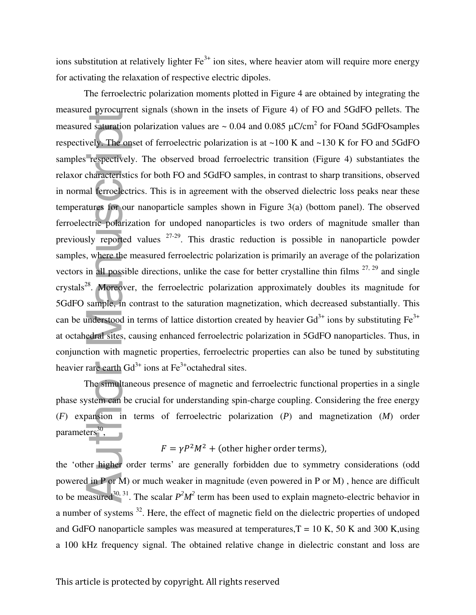ions substitution at relatively lighter  $\text{Fe}^{3+}$  ion sites, where heavier atom will require more energy for activating the relaxation of respective electric dipoles.

The ferroelectric polarization moments plotted in Figure 4 are obtained by integrating the measured pyrocurrent signals (shown in the insets of Figure 4) of FO and 5GdFO pellets. The measured saturation polarization values are  $\sim 0.04$  and 0.085  $\mu$ C/cm<sup>2</sup> for FOand 5GdFOsamples respectively. The onset of ferroelectric polarization is at ~100 K and ~130 K for FO and 5GdFO samples respectively. The observed broad ferroelectric transition (Figure 4) substantiates the relaxor characteristics for both FO and 5GdFO samples, in contrast to sharp transitions, observed in normal ferroelectrics. This is in agreement with the observed dielectric loss peaks near these temperatures for our nanoparticle samples shown in Figure 3(a) (bottom panel). The observed ferroelectric polarization for undoped nanoparticles is two orders of magnitude smaller than previously reported values  $27-29$ . This drastic reduction is possible in nanoparticle powder samples, where the measured ferroelectric polarization is primarily an average of the polarization vectors in all possible directions, unlike the case for better crystalline thin films  $27, 29$  and single crystals<sup>28</sup>. Moreover, the ferroelectric polarization approximately doubles its magnitude for 5GdFO sample, in contrast to the saturation magnetization, which decreased substantially. This can be understood in terms of lattice distortion created by heavier  $Gd^{3+}$  ions by substituting  $Fe^{3+}$ at octahedral sites, causing enhanced ferroelectric polarization in 5GdFO nanoparticles. Thus, in conjunction with magnetic properties, ferroelectric properties can also be tuned by substituting heavier rare earth  $Gd^{3+}$  ions at  $Fe^{3+}$ octahedral sites. are<br>a measured signarion polarization values are  $-0.04$  and  $0.085$  µC/cm<sup>2</sup> for PO and 5GdPO<br>samples respectively. The observed broad ferredectric transition (Figure 4) substantiates the<br>samples regrectric to the polari

The simultaneous presence of magnetic and ferroelectric functional properties in a single phase system can be crucial for understanding spin-charge coupling. Considering the free energy (*F*) expansion in terms of ferroelectric polarization (*P*) and magnetization (*M*) order parameters<sup>30</sup>,

 $F = \gamma P^2 M^2$  + (other higher order terms),

the 'other higher order terms' are generally forbidden due to symmetry considerations (odd powered in P or M) or much weaker in magnitude (even powered in P or M) , hence are difficult to be measured<sup>30, 31</sup>. The scalar  $P^2M^2$  term has been used to explain magneto-electric behavior in a number of systems <sup>32</sup>. Here, the effect of magnetic field on the dielectric properties of undoped and GdFO nanoparticle samples was measured at temperatures,  $T = 10 K$ , 50 K and 300 K,using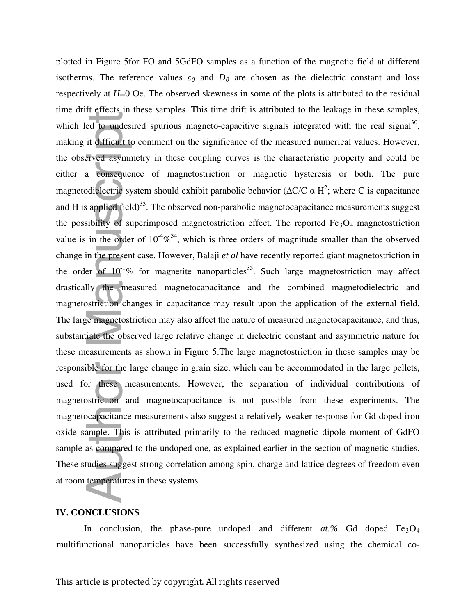plotted in Figure 5for FO and 5GdFO samples as a function of the magnetic field at different isotherms. The reference values  $\varepsilon_0$  and  $D_0$  are chosen as the dielectric constant and loss respectively at *H*=0 Oe. The observed skewness in some of the plots is attributed to the residual time drift effects in these samples. This time drift is attributed to the leakage in these samples, which led to undesired spurious magneto-capacitive signals integrated with the real signal<sup>30</sup>, making it difficult to comment on the significance of the measured numerical values. However, the observed asymmetry in these coupling curves is the characteristic property and could be either a consequence of magnetostriction or magnetic hysteresis or both. The pure magnetodielectric system should exhibit parabolic behavior ( $\Delta C/C \alpha H^2$ ; where C is capacitance and H is applied field)<sup>33</sup>. The observed non-parabolic magnetocapacitance measurements suggest the possibility of superimposed magnetostriction effect. The reported  $Fe<sub>3</sub>O<sub>4</sub>$  magnetostriction value is in the order of  $10^{-4}\%$ <sup>34</sup>, which is three orders of magnitude smaller than the observed change in the present case. However, Balaji *et al* have recently reported giant magnetostriction in the order of  $10^{-1}\%$  for magnetite nanoparticles<sup>35</sup>. Such large magnetostriction may affect drastically the measured magnetocapacitance and the combined magnetodielectric and magnetostriction changes in capacitance may result upon the application of the external field. The large magnetostriction may also affect the nature of measured magnetocapacitance, and thus, substantiate the observed large relative change in dielectric constant and asymmetric nature for these measurements as shown in Figure 5.The large magnetostriction in these samples may be responsible for the large change in grain size, which can be accommodated in the large pellets, used for these measurements. However, the separation of individual contributions of magnetostriction and magnetocapacitance is not possible from these experiments. The magnetocapacitance measurements also suggest a relatively weaker response for Gd doped iron oxide sample. This is attributed primarily to the reduced magnetic dipole moment of GdFO sample as compared to the undoped one, as explained earlier in the section of magnetic studies. These studies suggest strong correlation among spin, charge and lattice degrees of freedom even at room temperatures in these systems. which led To undefeated spurious magneto-capacitive signals integrated with the real signal<sup>79</sup><br>multing it difficult to comment on the significance of the measured numerical values. However,<br>the observed asymmetry in thes

# **IV. CONCLUSIONS**

In conclusion, the phase-pure undoped and different  $at.\%$  Gd doped  $Fe<sub>3</sub>O<sub>4</sub>$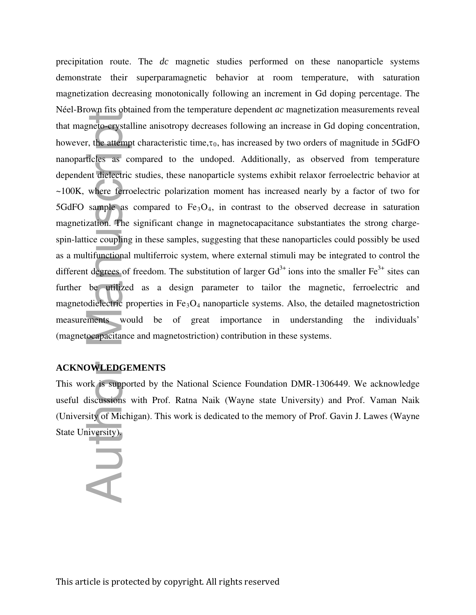precipitation route. The *dc* magnetic studies performed on these nanoparticle systems demonstrate their superparamagnetic behavior at room temperature, with saturation magnetization decreasing monotonically following an increment in Gd doping percentage. The Néel-Brown fits obtained from the temperature dependent *ac* magnetization measurements reveal that magneto-crystalline anisotropy decreases following an increase in Gd doping concentration, however, the attempt characteristic time, $\tau_0$ , has increased by two orders of magnitude in 5GdFO nanoparticles as compared to the undoped. Additionally, as observed from temperature dependent dielectric studies, these nanoparticle systems exhibit relaxor ferroelectric behavior at ~100K, where ferroelectric polarization moment has increased nearly by a factor of two for 5GdFO sample as compared to  $Fe<sub>3</sub>O<sub>4</sub>$ , in contrast to the observed decrease in saturation magnetization. The significant change in magnetocapacitance substantiates the strong chargespin-lattice coupling in these samples, suggesting that these nanoparticles could possibly be used as a multifunctional multiferroic system, where external stimuli may be integrated to control the different degrees of freedom. The substitution of larger  $Gd<sup>3+</sup>$  ions into the smaller  $Fe<sup>3+</sup>$  sites can further be utilized as a design parameter to tailor the magnetic, ferroelectric and magnetodielectric properties in  $Fe<sub>3</sub>O<sub>4</sub>$  nanoparticle systems. Also, the detailed magnetostriction measurements would be of great importance in understanding the individuals' (magnetocapacitance and magnetostriction) contribution in these systems. Freer Brown Fits Sextember 1994.<br>
that magneto-crystal<br>
however, the attemp<br>
nanoparticles as codependent dielectric<br>
~100K, where ferrc<br>
5GdFO sample as<br>
magnetization. The<br>
spin-lattice coupling<br>
as a multifunctional<br>
di

# **ACKNOWLEDGEMENTS**

This work is supported by the National Science Foundation DMR-1306449. We acknowledge useful discussions with Prof. Ratna Naik (Wayne state University) and Prof. Vaman Naik (University of Michigan). This work is dedicated to the memory of Prof. Gavin J. Lawes (Wayne State University).

U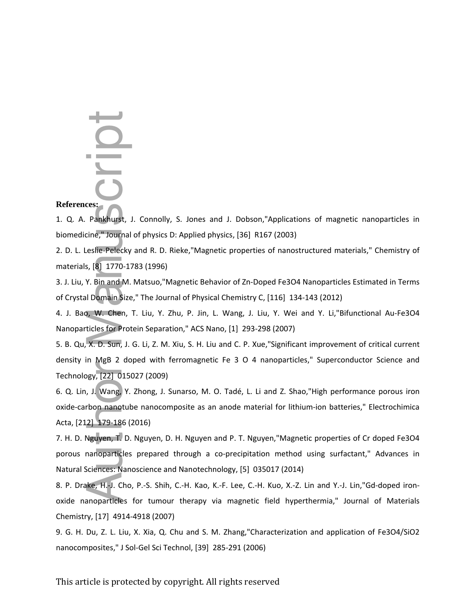# **References:**

1. Q. A. Pankhurst, J. Connolly, S. Jones and J. Dobson,"Applications of magnetic nanoparticles in biomedicine," Journal of physics D: Applied physics, [36] R167 (2003)

2. D. L. Leslie-Pelecky and R. D. Rieke,"Magnetic properties of nanostructured materials," Chemistry of materials, [8] 1770-1783 (1996)

3. J. Liu, Y. Bin and M. Matsuo,"Magnetic Behavior of Zn-Doped Fe3O4 Nanoparticles Estimated in Terms of Crystal Domain Size," The Journal of Physical Chemistry C, [116] 134-143 (2012)

4. J. Bao, W. Chen, T. Liu, Y. Zhu, P. Jin, L. Wang, J. Liu, Y. Wei and Y. Li,"Bifunctional Au-Fe3O4 Nanoparticles for Protein Separation," ACS Nano, [1] 293-298 (2007)

5. B. Qu, X. D. Sun, J. G. Li, Z. M. Xiu, S. H. Liu and C. P. Xue,"Significant improvement of critical current density in MgB 2 doped with ferromagnetic Fe 3 O 4 nanoparticles," Superconductor Science and Technology, [22] 015027 (2009) References:<br>
1. Q. A. Pankhurst, J. Connolly, S. Jones and J. Dobson,<br>
biomedicine," Journal of physics D: Applied physics, [36] R16<br>
2. D. L. Leslie-Pelecky and R. D. Rieke,"Magnetic properties<br>
materials, [8] 1770-1783 (

6. Q. Lin, J. Wang, Y. Zhong, J. Sunarso, M. O. Tadé, L. Li and Z. Shao,"High performance porous iron oxide-carbon nanotube nanocomposite as an anode material for lithium-ion batteries," Electrochimica Acta, [212] 179-186 (2016)

7. H. D. Nguyen, T. D. Nguyen, D. H. Nguyen and P. T. Nguyen,"Magnetic properties of Cr doped Fe3O4 porous nanoparticles prepared through a co-precipitation method using surfactant," Advances in Natural Sciences: Nanoscience and Nanotechnology, [5] 035017 (2014)

8. P. Drake, H.-J. Cho, P.-S. Shih, C.-H. Kao, K.-F. Lee, C.-H. Kuo, X.-Z. Lin and Y.-J. Lin,"Gd-doped ironoxide nanoparticles for tumour therapy via magnetic field hyperthermia," Journal of Materials Chemistry, [17] 4914-4918 (2007)

9. G. H. Du, Z. L. Liu, X. Xia, Q. Chu and S. M. Zhang,"Characterization and application of Fe3O4/SiO2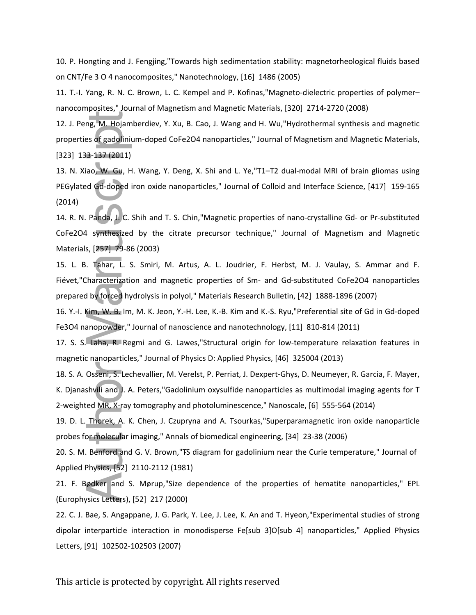10. P. Hongting and J. Fengjing,"Towards high sedimentation stability: magnetorheological fluids based on CNT/Fe 3 O 4 nanocomposites," Nanotechnology, [16] 1486 (2005)

11. T.-I. Yang, R. N. C. Brown, L. C. Kempel and P. Kofinas,"Magneto-dielectric properties of polymer– nanocomposites," Journal of Magnetism and Magnetic Materials, [320] 2714-2720 (2008)

12. J. Peng, M. Hojamberdiev, Y. Xu, B. Cao, J. Wang and H. Wu,"Hydrothermal synthesis and magnetic properties of gadolinium-doped CoFe2O4 nanoparticles," Journal of Magnetism and Magnetic Materials, [323] 133-137 (2011)

13. N. Xiao, W. Gu, H. Wang, Y. Deng, X. Shi and L. Ye,"T1–T2 dual-modal MRI of brain gliomas using PEGylated Gd-doped iron oxide nanoparticles," Journal of Colloid and Interface Science, [417] 159-165 (2014) 12. J. Peng, M. Hojamberdiev, Y. Xu<br>properties of gadolinium-doped Cof<br>[323] 133-137 (2011)<br>13. N. Xiao, W. Gu, H. Wang, Y. De<br>PEGylated Gd-doped iron oxide nar<br>(2014)<br>14. R. N. Panda, J. C. Shih and T. S.<br>CoFe2O4 synthesi

14. R. N. Panda, J. C. Shih and T. S. Chin,"Magnetic properties of nano-crystalline Gd- or Pr-substituted CoFe2O4 synthesized by the citrate precursor technique," Journal of Magnetism and Magnetic Materials, [257] 79-86 (2003)

15. L. B. Tahar, L. S. Smiri, M. Artus, A. L. Joudrier, F. Herbst, M. J. Vaulay, S. Ammar and F. Fiévet,"Characterization and magnetic properties of Sm- and Gd-substituted CoFe2O4 nanoparticles prepared by forced hydrolysis in polyol," Materials Research Bulletin, [42] 1888-1896 (2007)

16. Y.-I. Kim, W. B. Im, M. K. Jeon, Y.-H. Lee, K.-B. Kim and K.-S. Ryu,"Preferential site of Gd in Gd-doped Fe3O4 nanopowder," Journal of nanoscience and nanotechnology, [11] 810-814 (2011)

17. S. S. Laha, R. Regmi and G. Lawes,"Structural origin for low-temperature relaxation features in magnetic nanoparticles," Journal of Physics D: Applied Physics, [46] 325004 (2013)

18. S. A. Osseni, S. Lechevallier, M. Verelst, P. Perriat, J. Dexpert-Ghys, D. Neumeyer, R. Garcia, F. Mayer, K. Djanashvili and J. A. Peters,"Gadolinium oxysulfide nanoparticles as multimodal imaging agents for T 2-weighted MR, X-ray tomography and photoluminescence," Nanoscale, [6] 555-564 (2014)

19. D. L. Thorek, A. K. Chen, J. Czupryna and A. Tsourkas,"Superparamagnetic iron oxide nanoparticle probes for molecular imaging," Annals of biomedical engineering, [34] 23-38 (2006)

20. S. M. Benford and G. V. Brown,"TS diagram for gadolinium near the Curie temperature," Journal of Applied Physics, [52] 2110-2112 (1981)

21. F. Bødker and S. Mørup,"Size dependence of the properties of hematite nanoparticles," EPL (Europhysics Letters), [52] 217 (2000)

22. C. J. Bae, S. Angappane, J. G. Park, Y. Lee, J. Lee, K. An and T. Hyeon,"Experimental studies of strong dipolar interparticle interaction in monodisperse Fe[sub 3]O[sub 4] nanoparticles," Applied Physics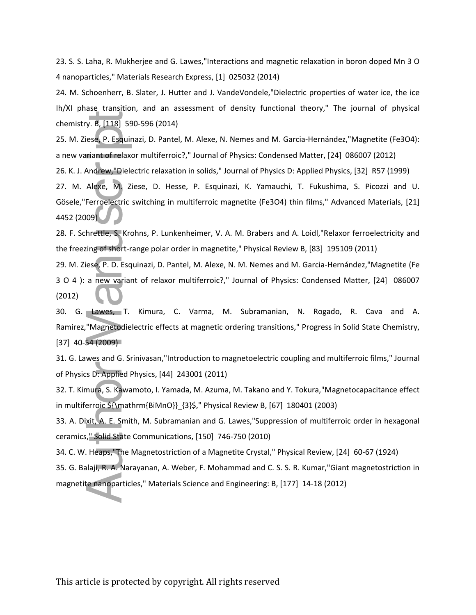23. S. S. Laha, R. Mukherjee and G. Lawes,"Interactions and magnetic relaxation in boron doped Mn 3 O 4 nanoparticles," Materials Research Express, [1] 025032 (2014)

24. M. Schoenherr, B. Slater, J. Hutter and J. VandeVondele,"Dielectric properties of water ice, the ice Ih/XI phase transition, and an assessment of density functional theory," The journal of physical chemistry. B, [118] 590-596 (2014)

25. M. Ziese, P. Esquinazi, D. Pantel, M. Alexe, N. Nemes and M. Garcia-Hernández,"Magnetite (Fe3O4): a new variant of relaxor multiferroic?," Journal of Physics: Condensed Matter, [24] 086007 (2012)

26. K. J. Andrew,"Dielectric relaxation in solids," Journal of Physics D: Applied Physics, [32] R57 (1999)

27. M. Alexe, M. Ziese, D. Hesse, P. Esquinazi, K. Yamauchi, T. Fukushima, S. Picozzi and U. Gösele,"Ferroelectric switching in multiferroic magnetite (Fe3O4) thin films," Advanced Materials, [21] 4452 (2009)

28. F. Schrettle, S. Krohns, P. Lunkenheimer, V. A. M. Brabers and A. Loidl,"Relaxor ferroelectricity and the freezing of short-range polar order in magnetite," Physical Review B, [83] 195109 (2011)

29. M. Ziese, P. D. Esquinazi, D. Pantel, M. Alexe, N. M. Nemes and M. Garcia-Hernández,"Magnetite (Fe 3 O 4 ): a new variant of relaxor multiferroic?," Journal of Physics: Condensed Matter, [24] 086007 (2012)

30. G. Lawes, T. Kimura, C. Varma, M. Subramanian, N. Rogado, R. Cava and A. Ramirez,"Magnetodielectric effects at magnetic ordering transitions," Progress in Solid State Chemistry, [37] 40-54 (2009) chemistry. 8, [118] 590-596 (2014)<br>25. M. Ziese, P. Esquinazi, D. Pantel, M. Alexe, N. Nemes and M. Garcia-Hernández<br>anew variant of relaxor multiferroic?," Journal of Physics: Condensed Matter, [24]<br>26. K. J. Andrew, "Die

31. G. Lawes and G. Srinivasan,"Introduction to magnetoelectric coupling and multiferroic films," Journal of Physics D: Applied Physics, [44] 243001 (2011)

32. T. Kimura, S. Kawamoto, I. Yamada, M. Azuma, M. Takano and Y. Tokura,"Magnetocapacitance effect in multiferroic \${\mathrm{BiMnO}}\_{3}\$," Physical Review B, [67] 180401 (2003)

33. A. Dixit, A. E. Smith, M. Subramanian and G. Lawes,"Suppression of multiferroic order in hexagonal ceramics," Solid State Communications, [150] 746-750 (2010)

34. C. W. Heaps,"The Magnetostriction of a Magnetite Crystal," Physical Review, [24] 60-67 (1924)

35. G. Balaji, R. A. Narayanan, A. Weber, F. Mohammad and C. S. S. R. Kumar,"Giant magnetostriction in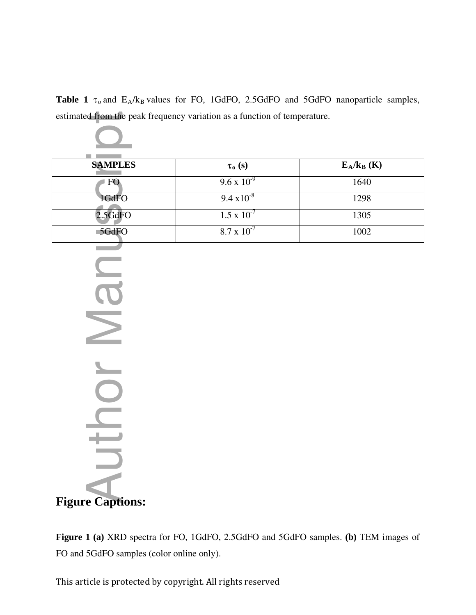**Table 1**  $\tau_0$  and  $E_A/k_B$  values for FO, 1GdFO, 2.5GdFO and 5GdFO nanoparticle samples, estimated from the peak frequency variation as a function of temperature.

| <b>SAMPLES</b> | $\tau_o(s)$          | $E_A/k_B$ (K) |
|----------------|----------------------|---------------|
| FO             | $9.6 \times 10^{-9}$ | 1640          |
| 1GdFO          | $9.4 \times 10^{-8}$ | 1298          |
| $2.5$ GdFO     | $1.5 \times 10^{-7}$ | 1305          |
| 5GdFO          | $8.7 \times 10^{-7}$ | 1002          |

**Figure Captions:**  Form and 5GdFO samples (color online only).

**Figure 1 (a)** XRD spectra for FO, 1GdFO, 2.5GdFO and 5GdFO samples. **(b)** TEM images of

This article is protected by copyright. All rights reserved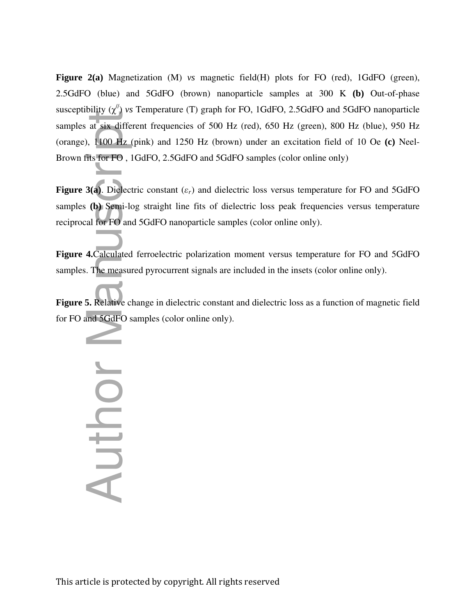**Figure 2(a)** Magnetization (M) *vs* magnetic field(H) plots for FO (red), 1GdFO (green), 2.5GdFO (blue) and 5GdFO (brown) nanoparticle samples at 300 K **(b)** Out-of-phase susceptibility (χ<sup>//</sup>) *vs* Temperature (T) graph for FO, 1GdFO, 2.5GdFO and 5GdFO nanoparticle samples at six different frequencies of 500 Hz (red), 650 Hz (green), 800 Hz (blue), 950 Hz (orange), 1100 Hz (pink) and 1250 Hz (brown) under an excitation field of 10 Oe **(c)** Neel-Brown fits for FO , 1GdFO, 2.5GdFO and 5GdFO samples (color online only) for Forms (x) of Fundroid (x) graph is:<br>
samples at six different frequencies of 500 Hz<br>
(orange), 1100 Hz (pink) and 1250 Hz (brown<br>
Brown fits for FO, 1GdFO, 2.5GdFO and 5GdF<br>
Figure 3(a). Dielectric constant ( $\varepsilon_r$ ) an

**Figure 3(a).** Dielectric constant  $(\varepsilon_r)$  and dielectric loss versus temperature for FO and 5GdFO samples **(b)** Semi-log straight line fits of dielectric loss peak frequencies versus temperature reciprocal for FO and 5GdFO nanoparticle samples (color online only).

**Figure 4.**Calculated ferroelectric polarization moment versus temperature for FO and 5GdFO samples. The measured pyrocurrent signals are included in the insets (color online only).

**Figure 5.** Relative change in dielectric constant and dielectric loss as a function of magnetic field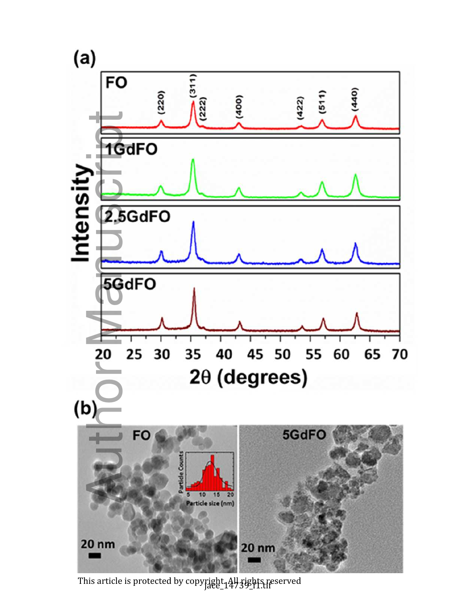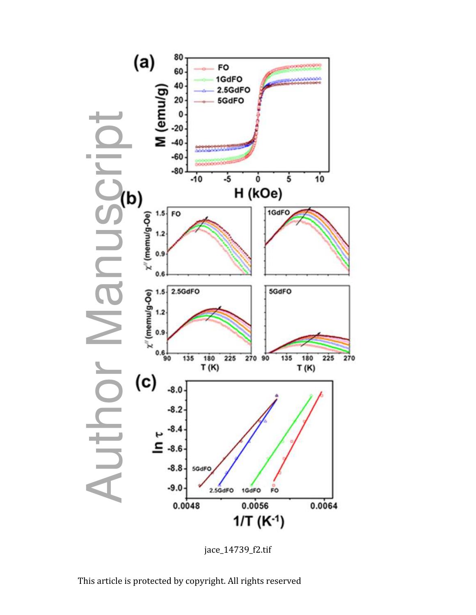

jace\_14739\_f2.tif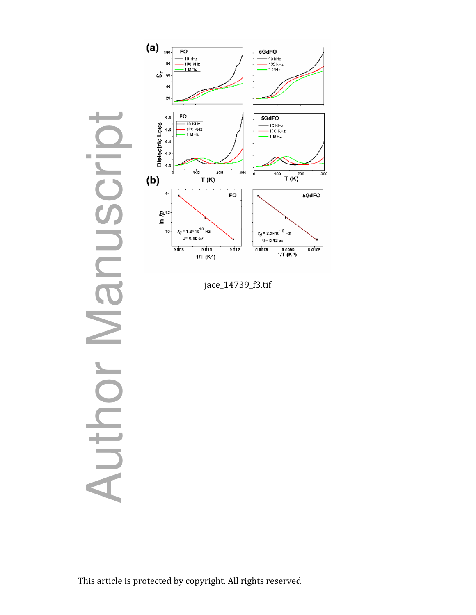

jace\_14739\_f3.tif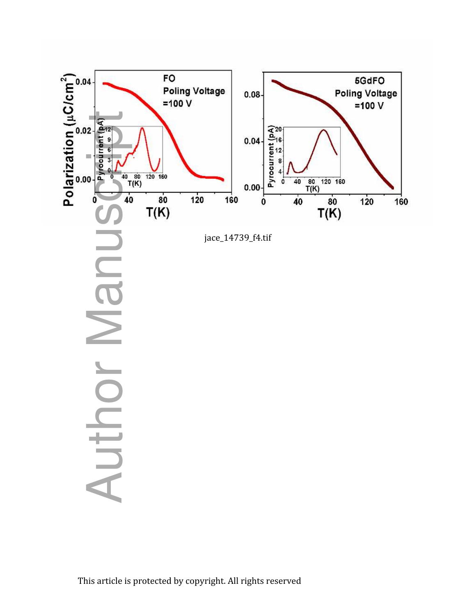